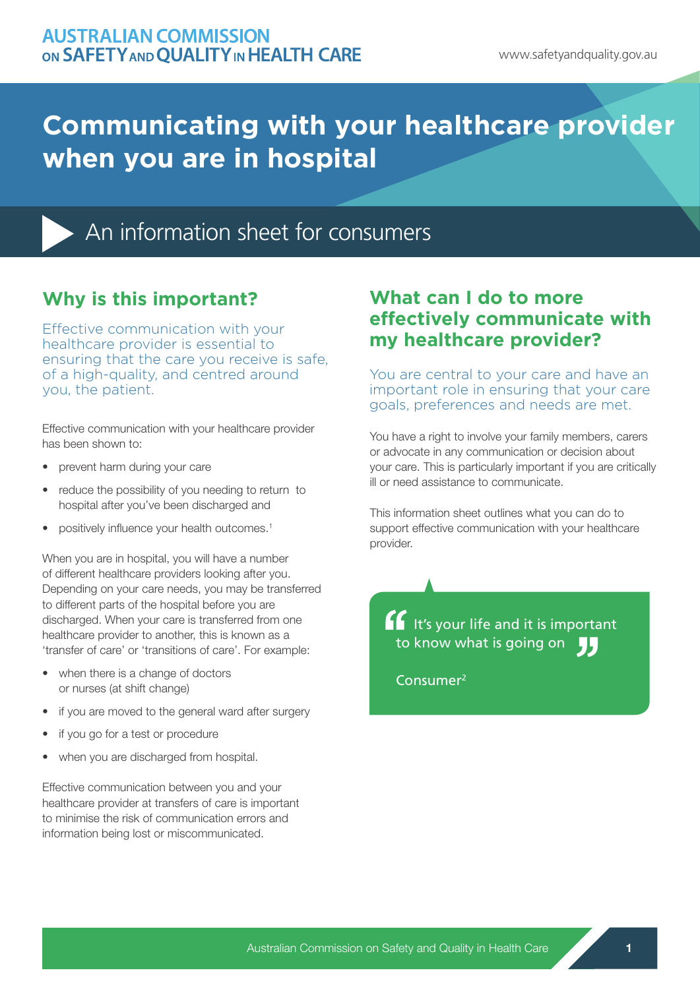## **Communicating with your healthcare provider when you are in hospital**



An information sheet for consumers

## **Why is this important?**

Effective communication with your healthcare provider is essential to ensuring that the care you receive is safe, of a high-quality, and centred around you, the patient.

Effective communication with your healthcare provider has been shown to:

- prevent harm during your care
- reduce the possibility of you needing to return to hospital after you've been discharged and
- positively influence your health outcomes.1

When you are in hospital, you will have a number of different healthcare providers looking after you. Depending on your care needs, you may be transferred to different parts of the hospital before you are discharged. When your care is transferred from one healthcare provider to another, this is known as a 'transfer of care' or 'transitions of care'. For example:

- when there is a change of doctors or nurses (at shift change)
- if you are moved to the general ward after surgery
- if you go for a test or procedure
- when you are discharged from hospital.

Effective communication between you and your healthcare provider at transfers of care is important to minimise the risk of communication errors and information being lost or miscommunicated.

#### **What can I do to more effectively communicate with my healthcare provider?**

You are central to your care and have an important role in ensuring that your care goals, preferences and needs are met.

You have a right to involve your family members, carers or advocate in any communication or decision about your care. This is particularly important if you are critically ill or need assistance to communicate.

This information sheet outlines what you can do to support effective communication with your healthcare provider.

 It's your life and it is important to know what is going on  $\blacksquare$ 

Consumer2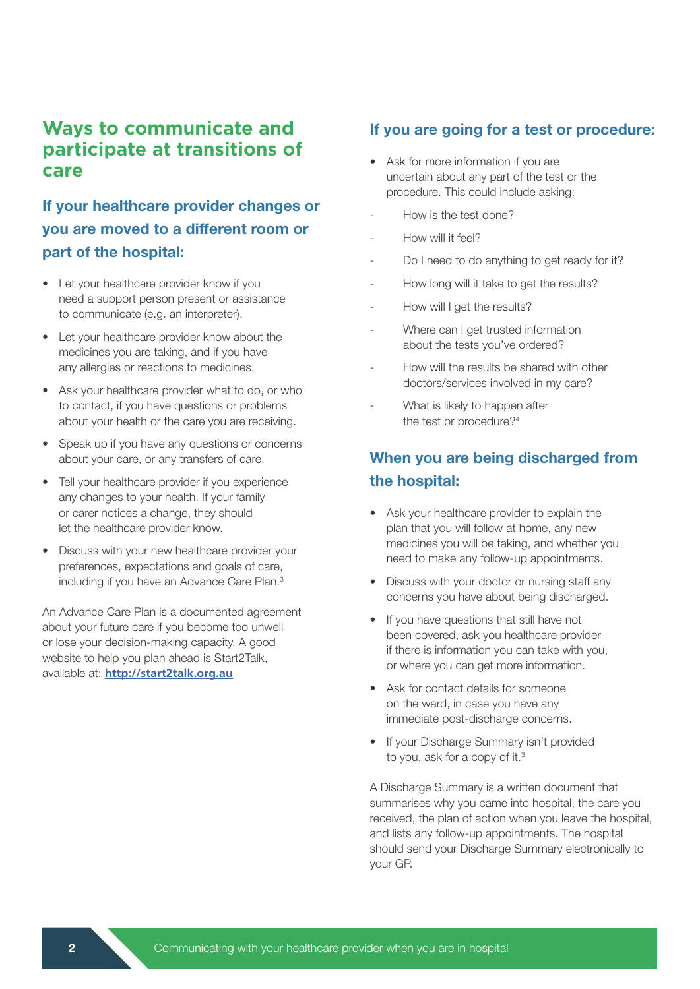#### **Ways to communicate and participate at transitions of care**

#### If your healthcare provider changes or you are moved to a different room or part of the hospital:

- Let your healthcare provider know if you need a support person present or assistance to communicate (e.g. an interpreter).
- Let your healthcare provider know about the medicines you are taking, and if you have any allergies or reactions to medicines.
- Ask your healthcare provider what to do, or who to contact, if you have questions or problems about your health or the care you are receiving.
- Speak up if you have any questions or concerns about your care, or any transfers of care.
- Tell your healthcare provider if you experience any changes to your health. If your family or carer notices a change, they should let the healthcare provider know.
- Discuss with your new healthcare provider your preferences, expectations and goals of care, including if you have an Advance Care Plan.<sup>3</sup>

An Advance Care Plan is a documented agreement about your future care if you become too unwell or lose your decision-making capacity. A good website to help you plan ahead is Start2Talk, available at: **http://start2talk.org.au**

#### If you are going for a test or procedure:

- Ask for more information if you are uncertain about any part of the test or the procedure. This could include asking:
- How is the test done?
- How will it feel?
- Do I need to do anything to get ready for it?
- How long will it take to get the results?
- How will I get the results?
- Where can I get trusted information about the tests you've ordered?
- How will the results be shared with other doctors/services involved in my care?
- What is likely to happen after the test or procedure?<sup>4</sup>

#### When you are being discharged from the hospital:

- Ask your healthcare provider to explain the plan that you will follow at home, any new medicines you will be taking, and whether you need to make any follow-up appointments.
- Discuss with your doctor or nursing staff any concerns you have about being discharged.
- If you have questions that still have not been covered, ask you healthcare provider if there is information you can take with you, or where you can get more information.
- Ask for contact details for someone on the ward, in case you have any immediate post-discharge concerns.
- If your Discharge Summary isn't provided to you, ask for a copy of it.<sup>3</sup>

A Discharge Summary is a written document that summarises why you came into hospital, the care you received, the plan of action when you leave the hospital, and lists any follow-up appointments. The hospital should send your Discharge Summary electronically to your GP.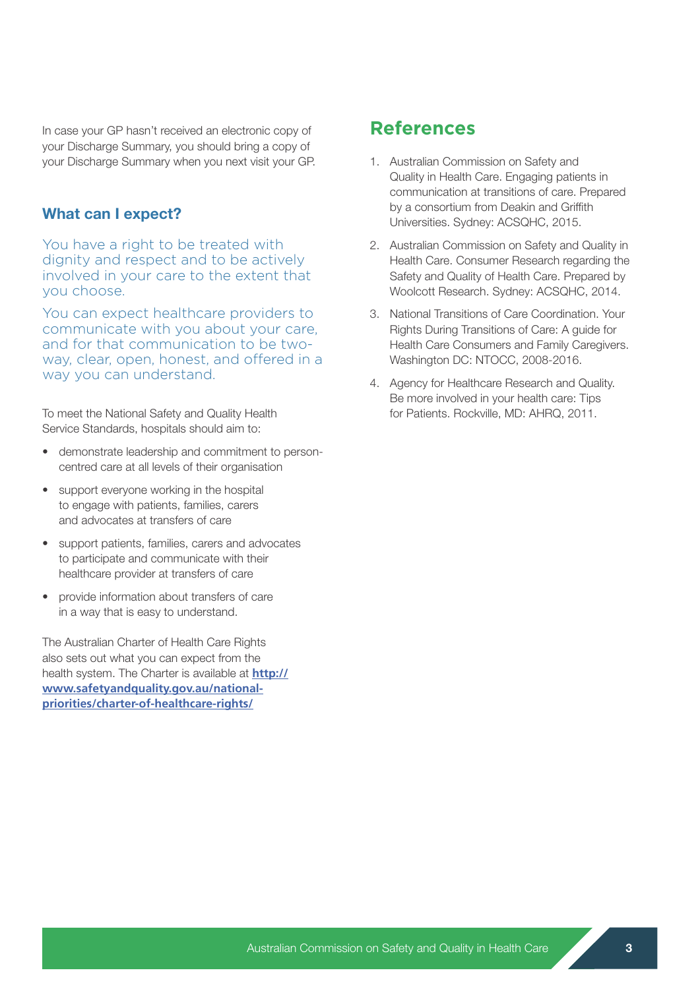In case your GP hasn't received an electronic copy of your Discharge Summary, you should bring a copy of your Discharge Summary when you next visit your GP.

#### What can I expect?

You have a right to be treated with dignity and respect and to be actively involved in your care to the extent that you choose.

You can expect healthcare providers to communicate with you about your care, and for that communication to be twoway, clear, open, honest, and offered in a way you can understand.

To meet the National Safety and Quality Health Service Standards, hospitals should aim to:

- demonstrate leadership and commitment to personcentred care at all levels of their organisation
- support everyone working in the hospital to engage with patients, families, carers and advocates at transfers of care
- support patients, families, carers and advocates to participate and communicate with their healthcare provider at transfers of care
- provide information about transfers of care in a way that is easy to understand.

The Australian Charter of Health Care Rights also sets out what you can expect from the health system. The Charter is available at **http:// www.safetyandquality.gov.au/nationalpriorities/charter-of-healthcare-rights/**

#### **References**

- 1. Australian Commission on Safety and Quality in Health Care. Engaging patients in communication at transitions of care. Prepared by a consortium from Deakin and Griffith Universities. Sydney: ACSQHC, 2015.
- 2. Australian Commission on Safety and Quality in Health Care. Consumer Research regarding the Safety and Quality of Health Care. Prepared by Woolcott Research. Sydney: ACSQHC, 2014.
- 3. National Transitions of Care Coordination. Your Rights During Transitions of Care: A guide for Health Care Consumers and Family Caregivers. Washington DC: NTOCC, 2008-2016.
- 4. Agency for Healthcare Research and Quality. Be more involved in your health care: Tips for Patients. Rockville, MD: AHRQ, 2011.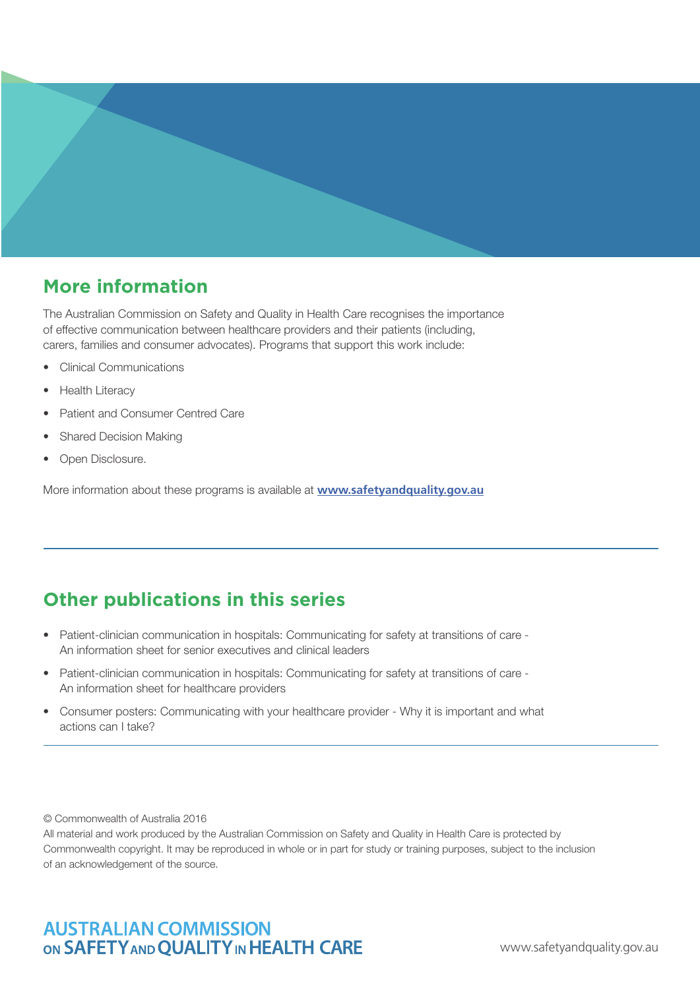

### **More information**

The Australian Commission on Safety and Quality in Health Care recognises the importance of effective communication between healthcare providers and their patients (including, carers, families and consumer advocates). Programs that support this work include:

- Clinical Communications
- **Health Literacy**
- Patient and Consumer Centred Care
- Shared Decision Making
- Open Disclosure.

More information about these programs is available at **www.safetyandquality.gov.au**

## **Other publications in this series**

- Patient-clinician communication in hospitals: Communicating for safety at transitions of care An information sheet for senior executives and clinical leaders
- Patient-clinician communication in hospitals: Communicating for safety at transitions of care An information sheet for healthcare providers
- Consumer posters: Communicating with your healthcare provider Why it is important and what actions can I take?

© Commonwealth of Australia 2016

All material and work produced by the Australian Commission on Safety and Quality in Health Care is protected by Commonwealth copyright. It may be reproduced in whole or in part for study or training purposes, subject to the inclusion of an acknowledgement of the source.